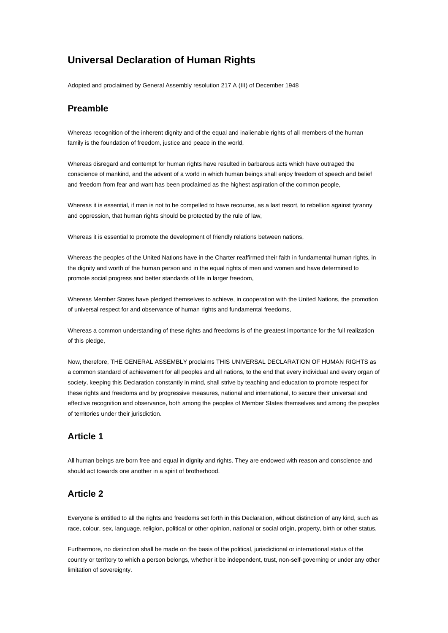# **Universal Declaration of Human Rights**

Adopted and proclaimed by General Assembly resolution 217 A (III) of December 1948

#### **Preamble**

Whereas recognition of the inherent dignity and of the equal and inalienable rights of all members of the human family is the foundation of freedom, justice and peace in the world,

Whereas disregard and contempt for human rights have resulted in barbarous acts which have outraged the conscience of mankind, and the advent of a world in which human beings shall enjoy freedom of speech and belief and freedom from fear and want has been proclaimed as the highest aspiration of the common people,

Whereas it is essential, if man is not to be compelled to have recourse, as a last resort, to rebellion against tyranny and oppression, that human rights should be protected by the rule of law,

Whereas it is essential to promote the development of friendly relations between nations,

Whereas the peoples of the United Nations have in the Charter reaffirmed their faith in fundamental human rights, in the dignity and worth of the human person and in the equal rights of men and women and have determined to promote social progress and better standards of life in larger freedom,

Whereas Member States have pledged themselves to achieve, in cooperation with the United Nations, the promotion of universal respect for and observance of human rights and fundamental freedoms,

Whereas a common understanding of these rights and freedoms is of the greatest importance for the full realization of this pledge,

Now, therefore, THE GENERAL ASSEMBLY proclaims THIS UNIVERSAL DECLARATION OF HUMAN RIGHTS as a common standard of achievement for all peoples and all nations, to the end that every individual and every organ of society, keeping this Declaration constantly in mind, shall strive by teaching and education to promote respect for these rights and freedoms and by progressive measures, national and international, to secure their universal and effective recognition and observance, both among the peoples of Member States themselves and among the peoples of territories under their jurisdiction.

#### **Article 1**

All human beings are born free and equal in dignity and rights. They are endowed with reason and conscience and should act towards one another in a spirit of brotherhood.

#### **Article 2**

Everyone is entitled to all the rights and freedoms set forth in this Declaration, without distinction of any kind, such as race, colour, sex, language, religion, political or other opinion, national or social origin, property, birth or other status.

Furthermore, no distinction shall be made on the basis of the political, jurisdictional or international status of the country or territory to which a person belongs, whether it be independent, trust, non-self-governing or under any other limitation of sovereignty.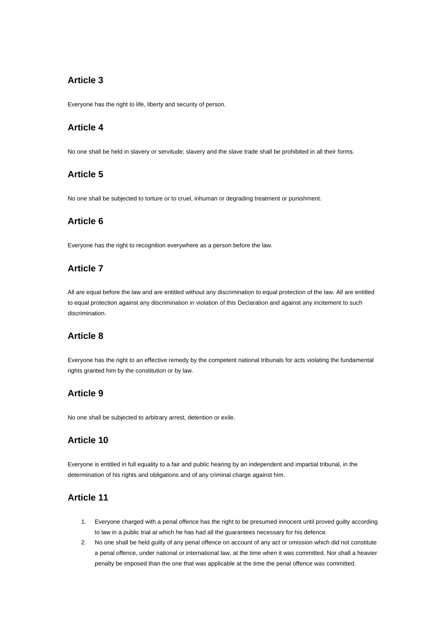# **Article 3**

Everyone has the right to life, liberty and security of person.

#### **Article 4**

No one shall be held in slavery or servitude; slavery and the slave trade shall be prohibited in all their forms.

#### **Article 5**

No one shall be subjected to torture or to cruel, inhuman or degrading treatment or punishment.

#### **Article 6**

Everyone has the right to recognition everywhere as a person before the law.

## **Article 7**

All are equal before the law and are entitled without any discrimination to equal protection of the law. All are entitled to equal protection against any discrimination in violation of this Declaration and against any incitement to such discrimination.

## **Article 8**

Everyone has the right to an effective remedy by the competent national tribunals for acts violating the fundamental rights granted him by the constitution or by law.

## **Article 9**

No one shall be subjected to arbitrary arrest, detention or exile.

## **Article 10**

Everyone is entitled in full equality to a fair and public hearing by an independent and impartial tribunal, in the determination of his rights and obligations and of any criminal charge against him.

## **Article 11**

- 1. Everyone charged with a penal offence has the right to be presumed innocent until proved guilty according to law in a public trial at which he has had all the guarantees necessary for his defence.
- 2. No one shall be held guilty of any penal offence on account of any act or omission which did not constitute a penal offence, under national or international law, at the time when it was committed. Nor shall a heavier penalty be imposed than the one that was applicable at the time the penal offence was committed.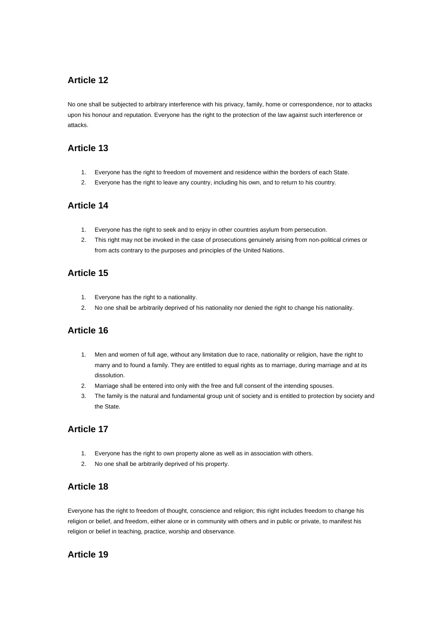## **Article 12**

No one shall be subjected to arbitrary interference with his privacy, family, home or correspondence, nor to attacks upon his honour and reputation. Everyone has the right to the protection of the law against such interference or attacks.

#### **Article 13**

- 1. Everyone has the right to freedom of movement and residence within the borders of each State.
- 2. Everyone has the right to leave any country, including his own, and to return to his country.

#### **Article 14**

- 1. Everyone has the right to seek and to enjoy in other countries asylum from persecution.
- 2. This right may not be invoked in the case of prosecutions genuinely arising from non-political crimes or from acts contrary to the purposes and principles of the United Nations.

## **Article 15**

- 1. Everyone has the right to a nationality.
- 2. No one shall be arbitrarily deprived of his nationality nor denied the right to change his nationality.

## **Article 16**

- 1. Men and women of full age, without any limitation due to race, nationality or religion, have the right to marry and to found a family. They are entitled to equal rights as to marriage, during marriage and at its dissolution.
- 2. Marriage shall be entered into only with the free and full consent of the intending spouses.
- 3. The family is the natural and fundamental group unit of society and is entitled to protection by society and the State.

## **Article 17**

- 1. Everyone has the right to own property alone as well as in association with others.
- 2. No one shall be arbitrarily deprived of his property.

#### **Article 18**

Everyone has the right to freedom of thought, conscience and religion; this right includes freedom to change his religion or belief, and freedom, either alone or in community with others and in public or private, to manifest his religion or belief in teaching, practice, worship and observance.

## **Article 19**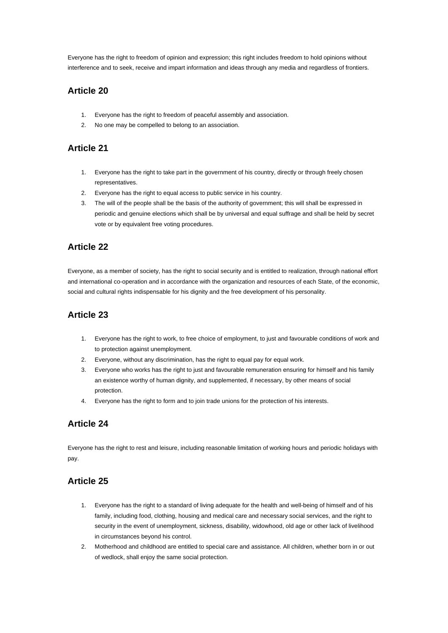Everyone has the right to freedom of opinion and expression; this right includes freedom to hold opinions without interference and to seek, receive and impart information and ideas through any media and regardless of frontiers.

#### **Article 20**

- 1. Everyone has the right to freedom of peaceful assembly and association.
- 2. No one may be compelled to belong to an association.

#### **Article 21**

- 1. Everyone has the right to take part in the government of his country, directly or through freely chosen representatives.
- 2. Everyone has the right to equal access to public service in his country.
- 3. The will of the people shall be the basis of the authority of government; this will shall be expressed in periodic and genuine elections which shall be by universal and equal suffrage and shall be held by secret vote or by equivalent free voting procedures.

## **Article 22**

Everyone, as a member of society, has the right to social security and is entitled to realization, through national effort and international co-operation and in accordance with the organization and resources of each State, of the economic, social and cultural rights indispensable for his dignity and the free development of his personality.

# **Article 23**

- 1. Everyone has the right to work, to free choice of employment, to just and favourable conditions of work and to protection against unemployment.
- 2. Everyone, without any discrimination, has the right to equal pay for equal work.
- 3. Everyone who works has the right to just and favourable remuneration ensuring for himself and his family an existence worthy of human dignity, and supplemented, if necessary, by other means of social protection.
- 4. Everyone has the right to form and to join trade unions for the protection of his interests.

## **Article 24**

Everyone has the right to rest and leisure, including reasonable limitation of working hours and periodic holidays with pay.

## **Article 25**

- 1. Everyone has the right to a standard of living adequate for the health and well-being of himself and of his family, including food, clothing, housing and medical care and necessary social services, and the right to security in the event of unemployment, sickness, disability, widowhood, old age or other lack of livelihood in circumstances beyond his control.
- 2. Motherhood and childhood are entitled to special care and assistance. All children, whether born in or out of wedlock, shall enjoy the same social protection.